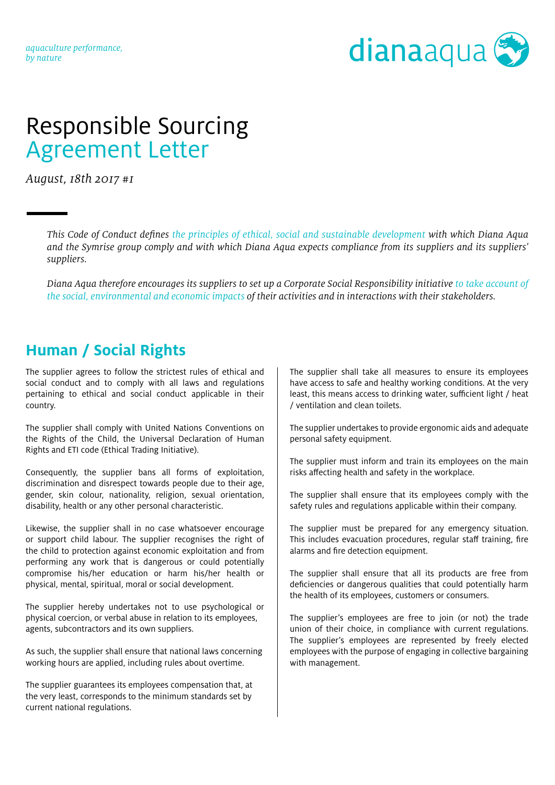#### *aquaculture performance, by nature*



# Responsible Sourcing Agreement Letter

*August, 18th 2017 #1*

*This Code of Conduct defines the principles of ethical, social and sustainable development with which Diana Aqua and the Symrise group comply and with which Diana Aqua expects compliance from its suppliers and its suppliers' suppliers.*

*Diana Aqua therefore encourages its suppliers to set up a Corporate Social Responsibility initiative to take account of the social, environmental and economic impacts of their activities and in interactions with their stakeholders.*

#### **Human / Social Rights**

The supplier agrees to follow the strictest rules of ethical and social conduct and to comply with all laws and regulations pertaining to ethical and social conduct applicable in their country.

The supplier shall comply with United Nations Conventions on the Rights of the Child, the Universal Declaration of Human Rights and ETI code (Ethical Trading Initiative).

Consequently, the supplier bans all forms of exploitation, discrimination and disrespect towards people due to their age, gender, skin colour, nationality, religion, sexual orientation, disability, health or any other personal characteristic.

Likewise, the supplier shall in no case whatsoever encourage or support child labour. The supplier recognises the right of the child to protection against economic exploitation and from performing any work that is dangerous or could potentially compromise his/her education or harm his/her health or physical, mental, spiritual, moral or social development.

The supplier hereby undertakes not to use psychological or physical coercion, or verbal abuse in relation to its employees, agents, subcontractors and its own suppliers.

As such, the supplier shall ensure that national laws concerning working hours are applied, including rules about overtime.

The supplier guarantees its employees compensation that, at the very least, corresponds to the minimum standards set by current national regulations.

The supplier shall take all measures to ensure its employees have access to safe and healthy working conditions. At the very least, this means access to drinking water, sufficient light / heat / ventilation and clean toilets.

The supplier undertakes to provide ergonomic aids and adequate personal safety equipment.

The supplier must inform and train its employees on the main risks affecting health and safety in the workplace.

The supplier shall ensure that its employees comply with the safety rules and regulations applicable within their company.

The supplier must be prepared for any emergency situation. This includes evacuation procedures, regular staff training, fire alarms and fire detection equipment.

The supplier shall ensure that all its products are free from deficiencies or dangerous qualities that could potentially harm the health of its employees, customers or consumers.

The supplier's employees are free to join (or not) the trade union of their choice, in compliance with current regulations. The supplier's employees are represented by freely elected employees with the purpose of engaging in collective bargaining with management.